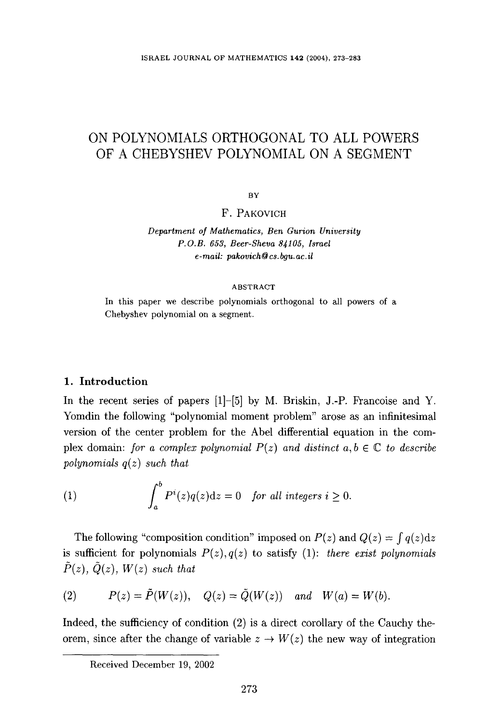ISRAEL JOURNAL OF MATHEMATICS 142 (2004), 273-283

# ON POLYNOMIALS ORTHOGONAL TO ALL POWERS OF A CHEBYSHEV POLYNOMIAL ON A SEGMENT

BY

F. PAKOVICH

*Department o/Mathematics, Ben Gurion University P.O.B. 653, Beer-Sheva 83105, Israel e-mail: pakovich@cs.bgu.ac.il* 

### ABSTRACT

In this paper we describe polynomials orthogonal to all powers of a Chebyshev polynomial on a segment.

# 1. Introduction

In the recent series of papers [1]-[5] by M. Briskin, J.-P. Francoise and Y. Yomdin the following "polynomial moment problem" arose as an infinitesimal version of the center problem for the Abel differential equation in the complex domain: *for a complex polynomial*  $P(z)$  and distinct  $a, b \in \mathbb{C}$  to describe *polynomials q(z) such that* 

(1) 
$$
\int_a^b P^i(z)q(z)dz = 0 \text{ for all integers } i \ge 0.
$$

The following "composition condition" imposed on  $P(z)$  and  $Q(z) = \int q(z) dz$ is sufficient for polynomials  $P(z)$ ,  $q(z)$  to satisfy (1): *there exist polynomials*  $\hat{P}(z)$ ,  $\hat{Q}(z)$ ,  $W(z)$  such that

(2) 
$$
P(z) = \tilde{P}(W(z)), \quad Q(z) = \tilde{Q}(W(z)) \quad and \quad W(a) = W(b).
$$

Indeed, the sufficiency of condition (2) is a direct corollary of the Cauchy theorem, since after the change of variable  $z \to W(z)$  the new way of integration

Received December 19, 2002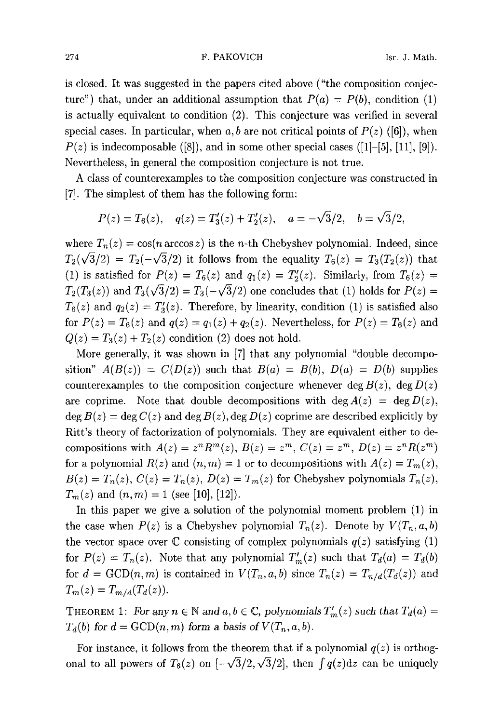#### 274 **F. PAKOVICH** Isr. J. Math.

is closed. It was suggested in the papers cited above ("the composition conjecture") that, under an additional assumption that  $P(a) = P(b)$ , condition (1) is actually equivalent to condition (2). This conjecture was verified in several special cases. In particular, when  $a, b$  are not critical points of  $P(z)$  ([6]), when  $P(z)$  is indecomposable ([8]), and in some other special cases ([1]-[5], [11], [9]). Nevertheless, in general the composition conjecture is not true.

A class of counterexamples to the composition conjecture was constructed in [7]. The simplest of them has the following form:

$$
P(z) = T_6(z)
$$
,  $q(z) = T'_3(z) + T'_2(z)$ ,  $a = -\sqrt{3}/2$ ,  $b = \sqrt{3}/2$ ,

where  $T_n(z) = \cos(n \arccos z)$  is the *n*-th Chebyshev polynomial. Indeed, since  $T_2(\sqrt{3}/2) = T_2(-\sqrt{3}/2)$  it follows from the equality  $T_6(z) = T_3(T_2(z))$  that (1) is satisfied for  $P(z) = T_6(z)$  and  $q_1(z) = T_2'(z)$ . Similarly, from  $T_6(z) =$  $T_2(T_3(z))$  and  $T_3(\sqrt{3}/2) = T_3(-\sqrt{3}/2)$  one concludes that (1) holds for  $P(z) =$  $T_6(z)$  and  $q_2(z) = T'_3(z)$ . Therefore, by linearity, condition (1) is satisfied also for  $P(z) = T_6(z)$  and  $q(z) = q_1(z) + q_2(z)$ . Nevertheless, for  $P(z) = T_6(z)$  and  $Q(z) = T_3(z) + T_2(z)$  condition (2) does not hold.

More generally, it was shown in [7] that any polynomial "double decomposition"  $A(B(z)) = C(D(z))$  such that  $B(a) = B(b)$ ,  $D(a) = D(b)$  supplies counterexamples to the composition conjecture whenever deg  $B(z)$ , deg  $D(z)$ are coprime. Note that double decompositions with deg  $A(z) = \deg D(z)$ ,  $\deg B(z) = \deg C(z)$  and  $\deg B(z)$ ,  $\deg D(z)$  coprime are described explicitly by Ritt's theory of factorization of polynomials. They are equivalent either to decompositions with  $A(z) = z^n R^m(z)$ ,  $B(z) = z^m$ ,  $C(z) = z^m$ ,  $D(z) = z^n R(z^m)$ for a polynomial  $R(z)$  and  $(n, m) = 1$  or to decompositions with  $A(z) = T_m(z)$ ,  $B(z) = T_n(z)$ ,  $C(z) = T_n(z)$ ,  $D(z) = T_m(z)$  for Chebyshev polynomials  $T_n(z)$ ,  $T_m(z)$  and  $(n,m) = 1$  (see [10], [12]).

In this paper we give a solution of the polynomial moment problem (1) in the case when  $P(z)$  is a Chebyshev polynomial  $T_n(z)$ . Denote by  $V(T_n, a, b)$ the vector space over  $\mathbb C$  consisting of complex polynomials  $q(z)$  satisfying (1) for  $P(z) = T_n(z)$ . Note that any polynomial  $T'_m(z)$  such that  $T_d(a) = T_d(b)$ for  $d = \text{GCD}(n, m)$  is contained in  $V(T_n, a, b)$  since  $T_n(z) = T_{n/d}(T_d(z))$  and  $T_m(z) = T_{m/d}(T_d(z)).$ 

THEOREM 1: For any  $n \in \mathbb{N}$  and  $a, b \in \mathbb{C}$ , polynomials  $T'_m(z)$  such that  $T_d(a)$  =  $T_d(b)$  for  $d = \text{GCD}(n, m)$  form a basis of  $V(T_n, a, b)$ .

For instance, it follows from the theorem that if a polynomial  $q(z)$  is orthogonal to all powers of  $T_6(z)$  on  $[-\sqrt{3}/2, \sqrt{3}/2]$ , then  $\int q(z)dz$  can be uniquely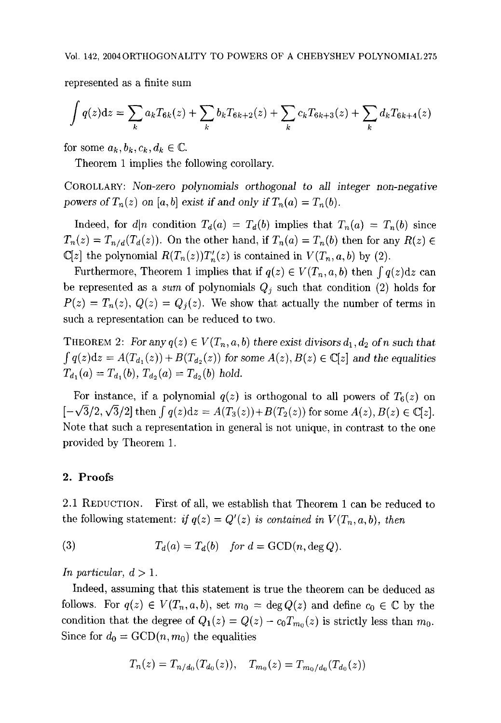represented as a finite sum

$$
\int q(z)dz = \sum_{k} a_k T_{6k}(z) + \sum_{k} b_k T_{6k+2}(z) + \sum_{k} c_k T_{6k+3}(z) + \sum_{k} d_k T_{6k+4}(z)
$$

for some  $a_k, b_k, c_k, d_k \in \mathbb{C}$ .

Theorem 1 implies the following corollary.

COROLLARY: *Non-zero polynomials orthogonal to all integer non-negative*  powers of  $T_n(z)$  on [a, b] exist if and only if  $T_n(a) = T_n(b)$ .

Indeed, for *d|n* condition  $T_d(a) = T_d(b)$  implies that  $T_n(a) = T_n(b)$  since  $T_n(z) = T_{n/d}(T_d(z))$ . On the other hand, if  $T_n(a) = T_n(b)$  then for any  $R(z) \in$  $\mathbb{C}[z]$  the polynomial  $R(T_n(z))T'_n(z)$  is contained in  $V(T_n, a, b)$  by (2).

Furthermore, Theorem 1 implies that if  $q(z) \in V(T_n, a, b)$  then  $\int q(z)dz$  can be represented as a *sum* of polynomials  $Q_j$  such that condition (2) holds for  $P(z) = T_n(z)$ ,  $Q(z) = Q_j(z)$ . We show that actually the number of terms in such a representation can be reduced to two.

THEOREM 2: For any  $q(z) \in V(T_n, a, b)$  there exist divisors  $d_1, d_2$  of n such that  $\int q(z)dz = A(T_{d_1}(z)) + B(T_{d_2}(z))$  for some  $A(z), B(z) \in \mathbb{C}[z]$  and the equalities  $T_{d_1}(a) = T_{d_1}(b)$ ,  $T_{d_2}(a) = T_{d_2}(b)$  hold.

For instance, if a polynomial  $q(z)$  is orthogonal to all powers of  $T<sub>6</sub>(z)$  on  $[-\sqrt{3}/2, \sqrt{3}/2]$  then  $\int q(z)dz = A(T_3(z)) + B(T_2(z))$  for some  $A(z), B(z) \in \mathbb{C}[z]$ . Note that such a representation in general is not unique, in contrast to the one provided by Theorem 1.

## 2. Proofs

2.1 REDUCTION. First of all, we establish that Theorem 1 can be reduced to the following statement: *if*  $q(z) = Q'(z)$  *is contained in*  $V(T_n, a, b)$ , then

(3) 
$$
T_d(a) = T_d(b) \quad \text{for } d = \text{GCD}(n, \text{deg } Q).
$$

*In particular,*  $d > 1$ *.* 

Indeed, assuming that this statement is true the theorem can be deduced as follows. For  $q(z) \in V(T_n, a, b)$ , set  $m_0 = \deg Q(z)$  and define  $c_0 \in \mathbb{C}$  by the condition that the degree of  $Q_1(z) = Q(z) - c_0 T_{m_0}(z)$  is strictly less than  $m_0$ . Since for  $d_0 = \text{GCD}(n, m_0)$  the equalities

$$
T_n(z) = T_{n/d_0}(T_{d_0}(z)), \quad T_{m_0}(z) = T_{m_0/d_0}(T_{d_0}(z))
$$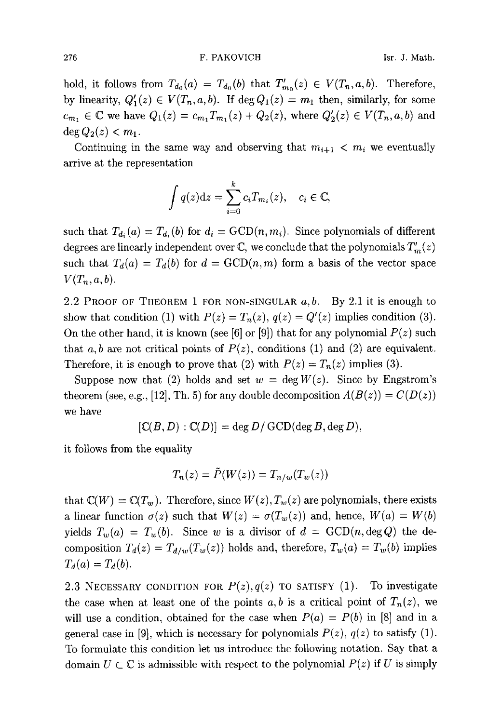276 **F. PAKOVICH** Isr. J. Math.

hold, it follows from  $T_{d_0}(a) = T_{d_0}(b)$  that  $T'_{m_0}(z) \in V(T_n, a, b)$ . Therefore, by linearity,  $Q'_1(z) \in V(T_n,a,b)$ . If  $\deg Q_1(z) = m_1$  then, similarly, for some  $c_{m_1} \in \mathbb{C}$  we have  $Q_1(z) = c_{m_1} T_{m_1}(z) + Q_2(z)$ , where  $Q'_2(z) \in V(T_n, a, b)$  and  $\deg Q_2(z) < m_1.$ 

Continuing in the same way and observing that  $m_{i+1} < m_i$  we eventually arrive at the representation

$$
\int q(z)dz = \sum_{i=0}^{k} c_i T_{m_i}(z), \quad c_i \in \mathbb{C},
$$

such that  $T_{d_i}(a) = T_{d_i}(b)$  for  $d_i = \text{GCD}(n, m_i)$ . Since polynomials of different degrees are linearly independent over  $\mathbb{C}$ , we conclude that the polynomials  $T'_m(z)$ such that  $T_d(a) = T_d(b)$  for  $d = \text{GCD}(n, m)$  form a basis of the vector space  $V(T_n,a,b)$ .

2.2 PROOF OF THEOREM 1 FOR NON-SINGULAR  $a, b$ . By 2.1 it is enough to show that condition (1) with  $P(z) = T_n(z)$ ,  $q(z) = Q'(z)$  implies condition (3). On the other hand, it is known (see [6] or [9]) that for any polynomial  $P(z)$  such that a, b are not critical points of  $P(z)$ , conditions (1) and (2) are equivalent. Therefore, it is enough to prove that (2) with  $P(z) = T_n(z)$  implies (3).

Suppose now that (2) holds and set  $w = \deg W(z)$ . Since by Engstrom's theorem (see, e.g., [12], Th. 5) for any double decomposition  $A(B(z)) = C(D(z))$ we have

$$
[\mathbb{C}(B, D) : \mathbb{C}(D)] = \deg D / \mathrm{GCD}(\deg B, \deg D),
$$

it follows from the equality

$$
T_n(z) = \tilde{P}(W(z)) = T_{n/w}(T_w(z))
$$

that  $\mathbb{C}(W) = \mathbb{C}(T_w)$ . Therefore, since  $W(z)$ ,  $T_w(z)$  are polynomials, there exists a linear function  $\sigma(z)$  such that  $W(z) = \sigma(T_w(z))$  and, hence,  $W(a) = W(b)$ yields  $T_w(a) = T_w(b)$ . Since w is a divisor of  $d = GCD(n, deg Q)$  the decomposition  $T_d(z) = T_{d/w}(T_w(z))$  holds and, therefore,  $T_w(a) = T_w(b)$  implies  $T_d(a) = T_d(b).$ 

2.3 NECESSARY CONDITION FOR  $P(z)$ ,  $q(z)$  TO SATISFY (1). To investigate the case when at least one of the points  $a, b$  is a critical point of  $T_n(z)$ , we will use a condition, obtained for the case when  $P(a) = P(b)$  in [8] and in a general case in [9], which is necessary for polynomials  $P(z)$ ,  $q(z)$  to satisfy (1). To formulate this condition let us introduce the following notation. Say that a domain  $U \subset \mathbb{C}$  is admissible with respect to the polynomial  $P(z)$  if U is simply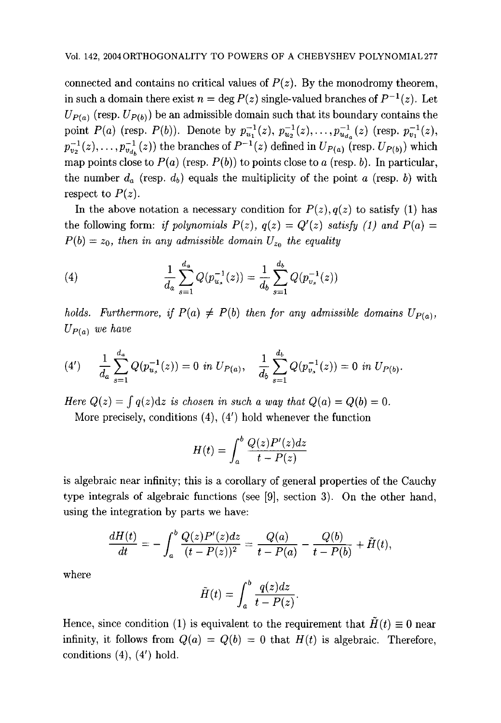connected and contains no critical values of  $P(z)$ . By the monodromy theorem, in such a domain there exist  $n = \deg P(z)$  single-valued branches of  $P^{-1}(z)$ . Let  $U_{P(a)}$  (resp.  $U_{P(b)}$ ) be an admissible domain such that its boundary contains the point *P(a)* (resp. *P(b))*. Denote by  $p_{u_1}^{-1}(z), p_{u_2}^{-1}(z), \ldots, p_{u_d}^{-1}(z)$  (resp.  $p_{v_1}^{-1}(z)$ ,  $p_{v_2}^{-1}(z),\ldots,p_{v_{d_k}}^{-1}(z)$  the branches of  $P^{-1}(z)$  defined in  $U_{P(a)}$  (resp.  $U_{P(b)}$ ) which map points close to  $P(a)$  (resp.  $P(b)$ ) to points close to a (resp. b). In particular, the number  $d_a$  (resp.  $d_b$ ) equals the multiplicity of the point a (resp. b) with respect to  $P(z)$ .

In the above notation a necessary condition for  $P(z)$ ,  $q(z)$  to satisfy (1) has the following form: if *polynomials*  $P(z)$ ,  $q(z) = Q'(z)$  satisfy (1) and  $P(a) =$  $P(b) = z_0$ , then in any admissible domain  $U_{z_0}$  the equality

(4) 
$$
\frac{1}{d_a} \sum_{s=1}^{d_a} Q(p_{u_s}^{-1}(z)) = \frac{1}{d_b} \sum_{s=1}^{d_b} Q(p_{v_s}^{-1}(z))
$$

holds. Furthermore, if  $P(a) \neq P(b)$  then for any admissible domains  $U_{P(a)}$ , *Up(a) we have* 

$$
(4') \qquad \frac{1}{d_a} \sum_{s=1}^{d_a} Q(p_{u_s}^{-1}(z)) = 0 \text{ in } U_{P(a)}, \quad \frac{1}{d_b} \sum_{s=1}^{d_b} Q(p_{v_s}^{-1}(z)) = 0 \text{ in } U_{P(b)}.
$$

*Here*  $Q(z) = \int q(z) dz$  *is chosen in such a way that*  $Q(a) = Q(b) = 0$ .

More precisely, conditions (4), (4') hold whenever the function

$$
H(t) = \int_{a}^{b} \frac{Q(z)P'(z)dz}{t - P(z)}
$$

is algebraic near infinity; this is a corollary of general properties of the Cauchy type integrals of algebraic functions (see [9], section 3). On the other hand, using the integration by parts we have:

$$
\frac{dH(t)}{dt} = -\int_a^b \frac{Q(z)P'(z)dz}{(t-P(z))^2} = \frac{Q(a)}{t-P(a)} - \frac{Q(b)}{t-P(b)} + \tilde{H}(t),
$$

where

$$
\tilde{H}(t) = \int_a^b \frac{q(z)dz}{t - P(z)}.
$$

Hence, since condition (1) is equivalent to the requirement that  $\tilde{H}(t) \equiv 0$  near infinity, it follows from  $Q(a) = Q(b) = 0$  that  $H(t)$  is algebraic. Therefore, conditions  $(4)$ ,  $(4')$  hold.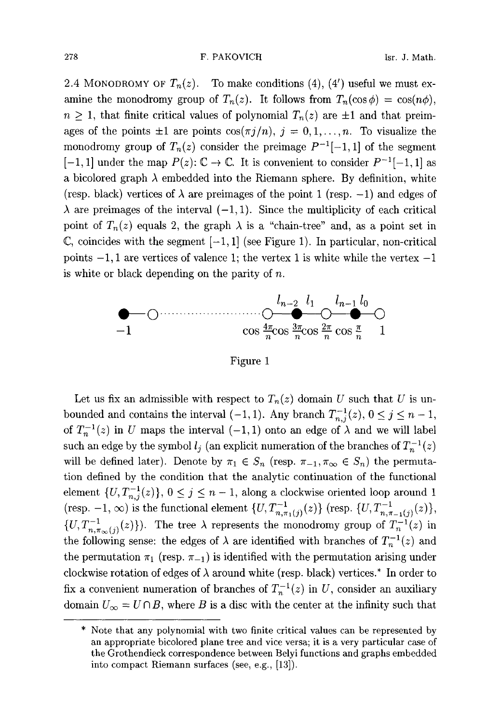#### 278 **F. PAKOVICH Isr. J. Math.**

2.4 MONODROMY OF  $T_n(z)$ . To make conditions (4), (4') useful we must examine the monodromy group of  $T_n(z)$ . It follows from  $T_n(\cos \phi) = \cos(n\phi)$ ,  $n \geq 1$ , that finite critical values of polynomial  $T_n(z)$  are  $\pm 1$  and that preimages of the points  $\pm 1$  are points  $\cos(\pi j/n)$ ,  $j = 0, 1, \ldots, n$ . To visualize the monodromy group of  $T_n(z)$  consider the preimage  $P^{-1}[-1,1]$  of the segment  $[-1, 1]$  under the map  $P(z): \mathbb{C} \to \mathbb{C}$ . It is convenient to consider  $P^{-1}[-1, 1]$  as a bicolored graph  $\lambda$  embedded into the Riemann sphere. By definition, white (resp. black) vertices of  $\lambda$  are preimages of the point 1 (resp. -1) and edges of  $\lambda$  are preimages of the interval  $(-1, 1)$ . Since the multiplicity of each critical point of  $T_n(z)$  equals 2, the graph  $\lambda$  is a "chain-tree" and, as a point set in  $\mathbb{C}$ , coincides with the segment  $[-1, 1]$  (see Figure 1). In particular, non-critical points  $-1$ , 1 are vertices of valence 1; the vertex 1 is white while the vertex  $-1$ is white or black depending on the parity of  $n$ .



Figure 1

Let us fix an admissible with respect to  $T_n(z)$  domain U such that U is unbounded and contains the interval  $(-1, 1)$ . Any branch  $T_{n,j}^{-1}(z)$ ,  $0 \le j \le n-1$ , of  $T_n^{-1}(z)$  in U maps the interval  $(-1,1)$  onto an edge of  $\lambda$  and we will label such an edge by the symbol  $l_j$  (an explicit numeration of the branches of  $T_n^{-1}(z)$ ) will be defined later). Denote by  $\pi_1 \in S_n$  (resp.  $\pi_{-1}, \pi_{\infty} \in S_n$ ) the permutation defined by the condition that the analytic continuation of the functional element  $\{U, T_{n,j}^{-1}(z)\}, 0 \le j \le n-1$ , along a clockwise oriented loop around 1 (resp. -1,  $\infty$ ) is the functional element  $\{U, T_{n,\pi_1(j)}^{-1}(z)\}\$  (resp.  $\{U, T_{n,\pi_{-1}(j)}^{-1}(z)\}\$ ,  $\{U, T_{n,\pi_{\infty}(j)}^{-1}(z)\}\)$ . The tree  $\lambda$  represents the monodromy group of  $T_n^{-1}(z)$  in the following sense: the edges of  $\lambda$  are identified with branches of  $T_n^{-1}(z)$  and the permutation  $\pi_1$  (resp.  $\pi_{-1}$ ) is identified with the permutation arising under clockwise rotation of edges of  $\lambda$  around white (resp. black) vertices.\* In order to fix a convenient numeration of branches of  $T_n^{-1}(z)$  in U, consider an auxiliary domain  $U_{\infty} = U \cap B$ , where B is a disc with the center at the infinity such that

<sup>\*</sup> Note that any polynomial with two finite critical values can be represented by an appropriate bicolored plane tree and vice versa; it is a very particular case of the Grothendieck correspondence between Belyi functions and graphs embedded into compact Riemann surfaces (see, e.g., [13]).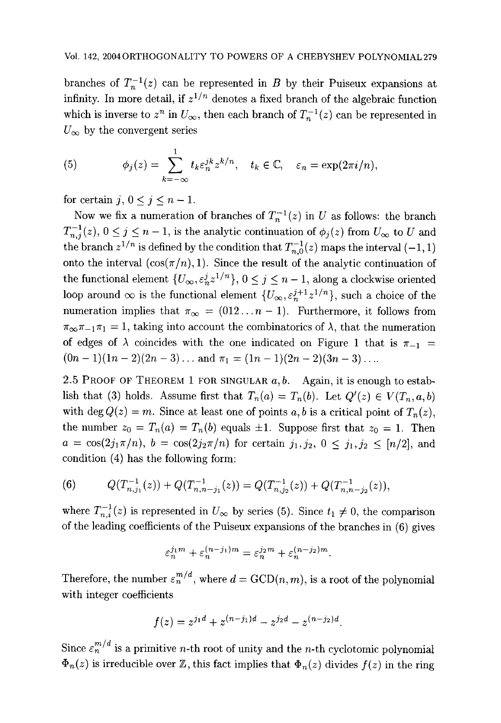branches of  $T_n^{-1}(z)$  can be represented in B by their Puiseux expansions at infinity. In more detail, if  $z^{1/n}$  denotes a fixed branch of the algebraic function which is inverse to  $z^n$  in  $U_\infty$ , then each branch of  $T_n^{-1}(z)$  can be represented in  $U_{\infty}$  by the convergent series

(5) 
$$
\phi_j(z) = \sum_{k=-\infty}^1 t_k \varepsilon_n^{jk} z^{k/n}, \quad t_k \in \mathbb{C}, \quad \varepsilon_n = \exp(2\pi i/n).
$$

for certain j,  $0 \leq j \leq n - 1$ .

Now we fix a numeration of branches of  $T_n^{-1}(z)$  in U as follows: the branch  $T_{n,j}^{-1}(z),\, 0\leq j\leq n-1,$  is the analytic continuation of  $\phi_j(z)$  from  $U_\infty$  to  $U$  and the branch  $z^{1/n}$  is defined by the condition that  $T_{n,0}^{-1}(z)$  maps the interval  $(-1,1)$ onto the interval  $(\cos(\pi/n), 1)$ . Since the result of the analytic continuation of the functional element  $\{U_{\infty}, \varepsilon_n^j z^{1/n}\}, 0 \le j \le n-1$ , along a clockwise oriented loop around  $\infty$  is the functional element  $\{U_{\infty}, \varepsilon_n^{j+1}z^{1/n}\},$  such a choice of the numeration implies that  $\pi_{\infty} = (012...n - 1)$ . Furthermore, it follows from  $\pi_{\infty} \pi_{-1} \pi_1 = 1$ , taking into account the combinatorics of  $\lambda$ , that the numeration of edges of  $\lambda$  coincides with the one indicated on Figure 1 that is  $\pi_{-1}$  =  $(0n - 1)(1n - 2)(2n - 3)...$  and  $\pi_1 = (1n - 1)(2n - 2)(3n - 3)...$ 

2.5 PROOF OF THEOREM 1 FOR SINGULAR  $a, b$ . Again, it is enough to establish that (3) holds. Assume first that  $T_n(a) = T_n(b)$ . Let  $Q'(z) \in V(T_n, a, b)$ with deg  $Q(z) = m$ . Since at least one of points a, b is a critical point of  $T_n(z)$ , the number  $z_0 = T_n(a) = T_n(b)$  equals  $\pm 1$ . Suppose first that  $z_0 = 1$ . Then  $a = \cos(2j_1\pi/n), b = \cos(2j_2\pi/n)$  for certain  $j_1, j_2, 0 \le j_1, j_2 \le [n/2],$  and condition (4) has the following form:

(6) 
$$
Q(T_{n,j_1}^{-1}(z)) + Q(T_{n,n-j_1}^{-1}(z)) = Q(T_{n,j_2}^{-1}(z)) + Q(T_{n,n-j_2}^{-1}(z)),
$$

where  $T_{n,i}^{-1}(z)$  is represented in  $U_{\infty}$  by series (5). Since  $t_1 \neq 0$ , the comparison of the leading coefficients of the Puiseux expansions of the branches in (6) gives

$$
\varepsilon_n^{j_1m}+\varepsilon_n^{(n-j_1)m}=\varepsilon_n^{j_2m}+\varepsilon_n^{(n-j_2)m}.
$$

Therefore, the number  $\varepsilon_n^{m/d}$ , where  $d = \text{GCD}(n, m)$ , is a root of the polynomial with integer coefficients

$$
f(z) = z^{j_1d} + z^{(n-j_1)d} - z^{j_2d} - z^{(n-j_2)d}.
$$

Since  $\varepsilon_n^{m/d}$  is a primitive *n*-th root of unity and the *n*-th cyclotomic polynomial  $\Phi_n(z)$  is irreducible over Z, this fact implies that  $\Phi_n(z)$  divides  $f(z)$  in the ring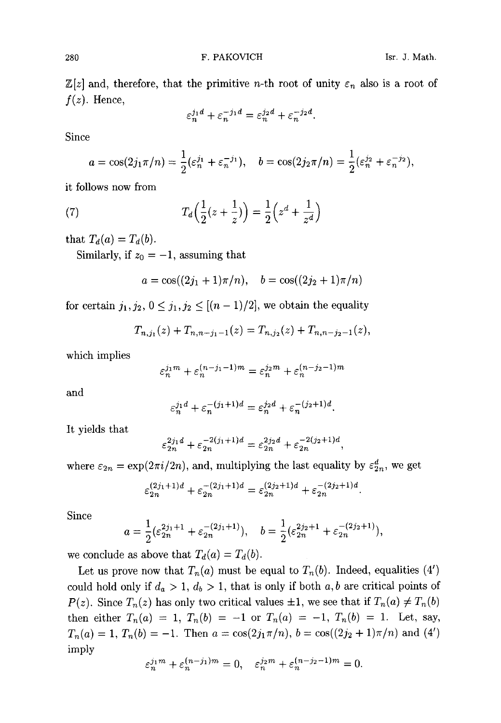$\mathbb{Z}[z]$  and, therefore, that the primitive *n*-th root of unity  $\varepsilon_n$  also is a root of  $f(z)$ . Hence,

$$
\varepsilon_n^{j_1d} + \varepsilon_n^{-j_1d} = \varepsilon_n^{j_2d} + \varepsilon_n^{-j_2d}.
$$

Since

$$
a = \cos(2j_1\pi/n) = \frac{1}{2}(\varepsilon_n^{j_1} + \varepsilon_n^{-j_1}), \quad b = \cos(2j_2\pi/n) = \frac{1}{2}(\varepsilon_n^{j_2} + \varepsilon_n^{-j_2}),
$$

it follows now from

(7) 
$$
T_d\Big(\frac{1}{2}(z+\frac{1}{z})\Big) = \frac{1}{2}\Big(z^d + \frac{1}{z^d}\Big)
$$

that  $T_d(a) = T_d(b)$ .

Similarly, if  $z_0 = -1$ , assuming that

$$
a = \cos((2j_1 + 1)\pi/n), \quad b = \cos((2j_2 + 1)\pi/n)
$$

for certain  $j_1, j_2, 0 \le j_1, j_2 \le [(n-1)/2]$ , we obtain the equality

$$
T_{n,j_1}(z)+T_{n,n-j_1-1}(z)=T_{n,j_2}(z)+T_{n,n-j_2-1}(z),
$$

which implies

$$
\varepsilon_n^{j_1m} + \varepsilon_n^{(n-j_1-1)m} = \varepsilon_n^{j_2m} + \varepsilon_n^{(n-j_2-1)m}
$$

and

$$
\varepsilon_n^{j_1d} + \varepsilon_n^{-(j_1+1)d} = \varepsilon_n^{j_2d} + \varepsilon_n^{-(j_2+1)d}.
$$

It yields that

$$
\varepsilon_{2n}^{2j_1d} + \varepsilon_{2n}^{-2(j_1+1)d} = \varepsilon_{2n}^{2j_2d} + \varepsilon_{2n}^{-2(j_2+1)d},
$$

where  $\varepsilon_{2n} = \exp(2\pi i/2n)$ , and, multiplying the last equality by  $\varepsilon_{2n}^d$ , we get

$$
\varepsilon_{2n}^{(2j_1+1)d} + \varepsilon_{2n}^{-(2j_1+1)d} = \varepsilon_{2n}^{(2j_2+1)d} + \varepsilon_{2n}^{-(2j_2+1)d}.
$$

Since

$$
a = \frac{1}{2} (\varepsilon_{2n}^{2j_1+1} + \varepsilon_{2n}^{-(2j_1+1)}), \quad b = \frac{1}{2} (\varepsilon_{2n}^{2j_2+1} + \varepsilon_{2n}^{-(2j_2+1)}),
$$

we conclude as above that  $T_d(a) = T_d(b)$ .

Let us prove now that  $T_n(a)$  must be equal to  $T_n(b)$ . Indeed, equalities (4') could hold only if  $d_a > 1$ ,  $d_b > 1$ , that is only if both a, b are critical points of *P(z).* Since  $T_n(z)$  has only two critical values  $\pm 1$ , we see that if  $T_n(a) \neq T_n(b)$ then either  $T_n(a) = 1$ ,  $T_n(b) = -1$  or  $T_n(a) = -1$ ,  $T_n(b) = 1$ . Let, say,  $T_n(a) = 1, T_n(b) = -1.$  Then  $a = \cos(2j_1\pi/n), b = \cos((2j_2 + 1)\pi/n)$  and  $(4')$ imply

$$
\varepsilon_n^{j_1m}+\varepsilon_n^{(n-j_1)m}=0,\quad \varepsilon_n^{j_2m}+\varepsilon_n^{(n-j_2-1)m}=0.
$$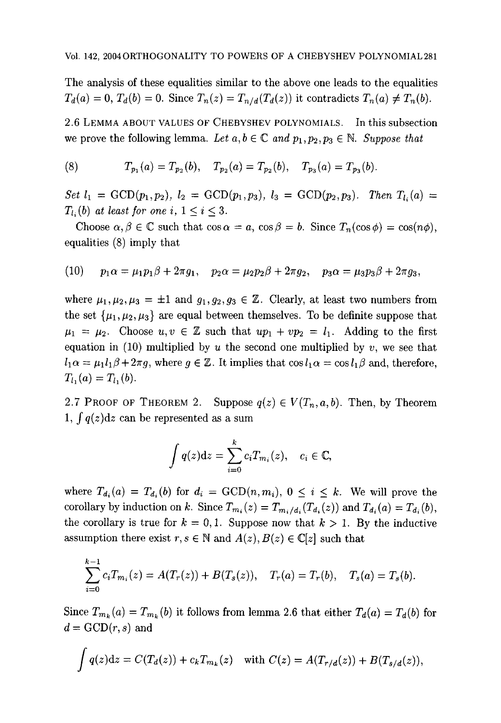The analysis of these equalities similar to the above one leads to the equalities  $T_d(a) = 0, T_d(b) = 0.$  Since  $T_n(z) = T_{n/d}(T_d(z))$  it contradicts  $T_n(a) \neq T_n(b)$ .

2.6 LEMMA ABOUT VALUES OF CHEBYSHEV POLYNOMIALS. In this subsection we prove the following lemma. Let  $a, b \in \mathbb{C}$  and  $p_1, p_2, p_3 \in \mathbb{N}$ . Suppose that

(8) 
$$
T_{p_1}(a) = T_{p_2}(b), \quad T_{p_2}(a) = T_{p_2}(b), \quad T_{p_3}(a) = T_{p_3}(b).
$$

*Set*  $l_1 = \text{GCD}(p_1, p_2), l_2 = \text{GCD}(p_1, p_3), l_3 = \text{GCD}(p_2, p_3).$  *Then*  $T_{l_i}(a) =$  $T_{l_i}(b)$  at least for one i,  $1 \leq i \leq 3$ .

Choose  $\alpha, \beta \in \mathbb{C}$  such that  $\cos \alpha = a$ ,  $\cos \beta = b$ . Since  $T_n(\cos \phi) = \cos(n\phi)$ , equalities (8) imply that

(10) 
$$
p_1 \alpha = \mu_1 p_1 \beta + 2\pi g_1
$$
,  $p_2 \alpha = \mu_2 p_2 \beta + 2\pi g_2$ ,  $p_3 \alpha = \mu_3 p_3 \beta + 2\pi g_3$ ,

where  $\mu_1, \mu_2, \mu_3 = \pm 1$  and  $g_1, g_2, g_3 \in \mathbb{Z}$ . Clearly, at least two numbers from the set  $\{\mu_1, \mu_2, \mu_3\}$  are equal between themselves. To be definite suppose that  $\mu_1 = \mu_2$ . Choose  $u, v \in \mathbb{Z}$  such that  $up_1 + vp_2 = l_1$ . Adding to the first equation in (10) multiplied by u the second one multiplied by  $v$ , we see that  $l_1\alpha = \mu_1l_1\beta + 2\pi g$ , where  $g \in \mathbb{Z}$ . It implies that  $\cos l_1\alpha = \cos l_1\beta$  and, therefore,  $T_{l_1}(a) = T_{l_1}(b).$ 

2.7 PROOF OF THEOREM 2. Suppose  $q(z) \in V(T_n, a, b)$ . Then, by Theorem 1,  $\int q(z) dz$  can be represented as a sum

$$
\int q(z)dz = \sum_{i=0}^{k} c_i T_{m_i}(z), \quad c_i \in \mathbb{C},
$$

where  $T_{d_i}(a) = T_{d_i}(b)$  for  $d_i = \text{GCD}(n, m_i)$ ,  $0 \leq i \leq k$ . We will prove the corollary by induction on k. Since  $T_{m_i}(z) = T_{m_i/d_i}(T_{d_i}(z))$  and  $T_{d_i}(a) = T_{d_i}(b)$ , the corollary is true for  $k = 0, 1$ . Suppose now that  $k > 1$ . By the inductive assumption there exist  $r, s \in \mathbb{N}$  and  $A(z), B(z) \in \mathbb{C}[z]$  such that

$$
\sum_{i=0}^{k-1} c_i T_{m_i}(z) = A(T_r(z)) + B(T_s(z)), \quad T_r(a) = T_r(b), \quad T_s(a) = T_s(b).
$$

Since  $T_{m_k}(a) = T_{m_k}(b)$  it follows from lemma 2.6 that either  $T_d(a) = T_d(b)$  for  $d = GCD(r, s)$  and

$$
\int q(z)dz = C(T_d(z)) + c_k T_{m_k}(z) \text{ with } C(z) = A(T_{r/d}(z)) + B(T_{s/d}(z)),
$$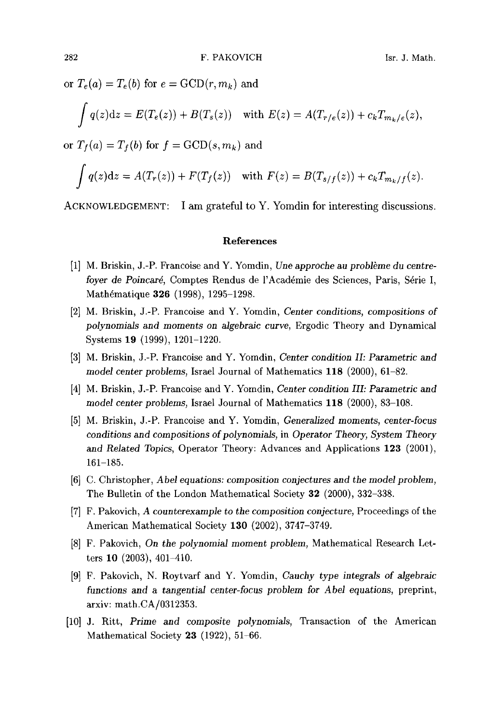or  $T_e(a) = T_e(b)$  for  $e = \text{GCD}(r, m_k)$  and

$$
\int q(z)dz = E(T_e(z)) + B(T_s(z)) \quad \text{with } E(z) = A(T_{r/e}(z)) + c_k T_{m_k/e}(z),
$$

or  $T_f(a) = T_f(b)$  for  $f = GCD(s, m_k)$  and

$$
\int q(z)dz = A(T_r(z)) + F(T_f(z)) \text{ with } F(z) = B(T_{s/f}(z)) + c_k T_{m_k/f}(z).
$$

ACKNOWLEDGEMENT: I am grateful to Y. Yomdin for interesting discussions.

### **References**

- [1] M. Briskin, J.-P. Francoise and Y. Yomdin, *Une approche au problbme du centrefoyer de Poincaré, Comptes Rendus de l'Académie des Sciences, Paris, Série I,* Mathématique 326 (1998), 1295-1298.
- [2] M. Briskin, J.-P. Francoise and Y. Yomdin, *Center conditions, compositions of polynomials and moments on algebraic curve,* Ergodic Theory and Dynamical Systems 19 (1999), 1201-1220.
- [3] M. Briskin, J.-P. Francoise and Y. Yomdin, *Center condition II: Parametric and model center problems,* Israel Journal of Mathematics 118 (2000), 61-82.
- [4] M. Briskin, J.-P. Francoise and Y. Yomdin, *Center condition III: Parametric and model* center *problems,* Israel Journal of Mathematics 118 (2000), 83-108.
- [5] M. Briskin, J.-P. Francoise and Y. Yomdin, *Generalized moments, center-focus conditions and compositions of polynomials,* in *Operator Theory, System Theory and Related Topics,* Operator Theory: Advances and Applications 123 (2001), 161-185.
- [6] C. Christopher, *Abel equations: composition conjectures and the model problem,*  The Bulletin of the London Mathematical Society 32 (2000), 332-338.
- [7] F. Pakovich, *A counterexample to* the *composition conjecture,* Proceedings of the American Mathematical Society 130 (2002), 3747-3749.
- [8] F. Pakovich, On *the polynomial moment problem,* Mathematical Research Letters 10 (2003), 401-410.
- [9] F. Pakovich, N. Roytvarf and Y. Yomdin, *Cauchy type integrals of algebraic functions and a tangential center-focus problem for Abel equations,* preprint, arxiv: math.CA/0312353.
- [10] J. Ritt, *Prime and composite polynomials,* Transaction of the American Mathematical Society 23 (1922), 51-66.